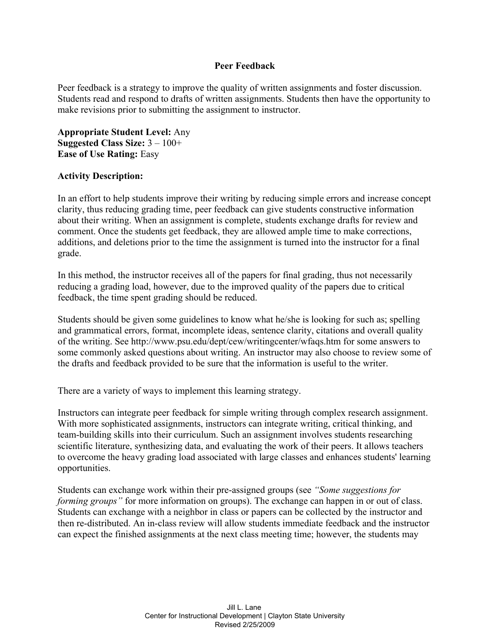## **Peer Feedback**

Peer feedback is a strategy to improve the quality of written assignments and foster discussion. Students read and respond to drafts of written assignments. Students then have the opportunity to make revisions prior to submitting the assignment to instructor.

**Appropriate Student Level:** Any **Suggested Class Size:** 3 – 100+ **Ease of Use Rating:** Easy

## **Activity Description:**

In an effort to help students improve their writing by reducing simple errors and increase concept clarity, thus reducing grading time, peer feedback can give students constructive information about their writing. When an assignment is complete, students exchange drafts for review and comment. Once the students get feedback, they are allowed ample time to make corrections, additions, and deletions prior to the time the assignment is turned into the instructor for a final grade.

In this method, the instructor receives all of the papers for final grading, thus not necessarily reducing a grading load, however, due to the improved quality of the papers due to critical feedback, the time spent grading should be reduced.

Students should be given some guidelines to know what he/she is looking for such as; spelling and grammatical errors, format, incomplete ideas, sentence clarity, citations and overall quality of the writing. See http://www.psu.edu/dept/cew/writingcenter/wfaqs.htm for some answers to some commonly asked questions about writing. An instructor may also choose to review some of the drafts and feedback provided to be sure that the information is useful to the writer.

There are a variety of ways to implement this learning strategy.

Instructors can integrate peer feedback for simple writing through complex research assignment. With more sophisticated assignments, instructors can integrate writing, critical thinking, and team-building skills into their curriculum. Such an assignment involves students researching scientific literature, synthesizing data, and evaluating the work of their peers. It allows teachers to overcome the heavy grading load associated with large classes and enhances students' learning opportunities.

Students can exchange work within their pre-assigned groups (see *"Some suggestions for forming groups"* for more information on groups). The exchange can happen in or out of class. Students can exchange with a neighbor in class or papers can be collected by the instructor and then re-distributed. An in-class review will allow students immediate feedback and the instructor can expect the finished assignments at the next class meeting time; however, the students may